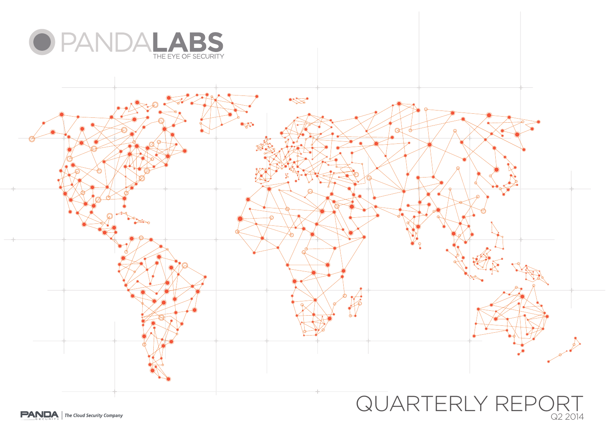



Q2 2014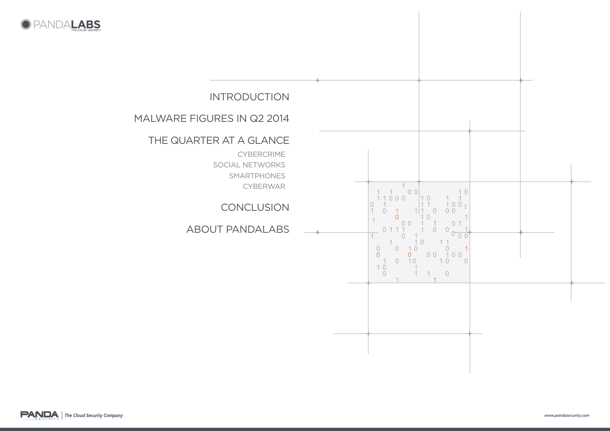



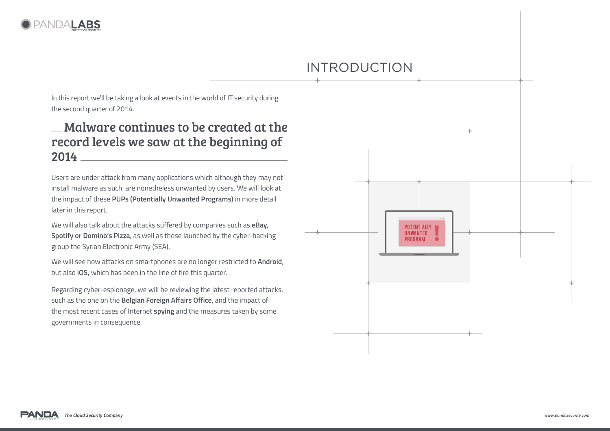

# introduction

In this report we'll be taking a look at events in the world of IT security during the second quarter of 2014.

### Malware continues to be created at the record levels we saw at the beginning of 2014

Users are under attack from many applications which although they may not install malware as such, are nonetheless unwanted by users. We will look at the impact of these **PUPs (Potentially Unwanted Programs)** in more detail later in this report.

We will also talk about the attacks suffered by companies such as **eBay, Spotify or Domino's Pizza**, as well as those launched by the cyber-hacking group the Syrian Electronic Army (SEA).

We will see how attacks on smartphones are no longer restricted to **Android**, but also **iOS,** which has been in the line of fire this quarter.

Regarding cyber-espionage, we will be reviewing the latest reported attacks, such as the one on the **Belgian Foreign Affairs Office**, and the impact of the most recent cases of Internet **spying** and the measures taken by some governments in consequence.

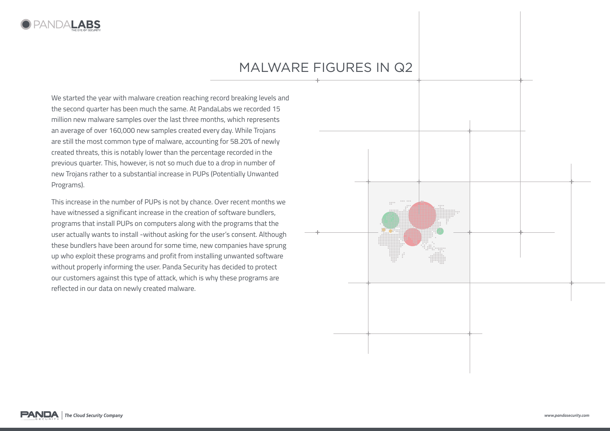

# MALWArE FiGurES in Q2

We started the year with malware creation reaching record breaking levels and the second quarter has been much the same. At PandaLabs we recorded 15 million new malware samples over the last three months, which represents an average of over 160,000 new samples created every day. While Trojans are still the most common type of malware, accounting for 58.20% of newly created threats, this is notably lower than the percentage recorded in the previous quarter. This, however, is not so much due to a drop in number of new Trojans rather to a substantial increase in PUPs (Potentially Unwanted Programs).

This increase in the number of PUPs is not by chance. Over recent months we have witnessed a significant increase in the creation of software bundlers, programs that install PUPs on computers along with the programs that the user actually wants to install -without asking for the user's consent. Although these bundlers have been around for some time, new companies have sprung up who exploit these programs and profit from installing unwanted software without properly informing the user. Panda Security has decided to protect our customers against this type of attack, which is why these programs are reflected in our data on newly created malware.

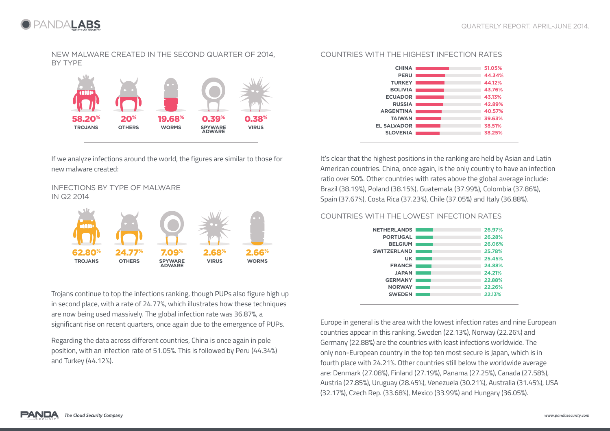

NEW MALWARE CREATED IN THE SECOND QUARTER OF 2014, BY TYPE



If we analyze infections around the world, the figures are similar to those for new malware created:

### INFECTIONS BY TYPE OF MALWARE IN Q2 2014



Trojans continue to top the infections ranking, though PUPs also figure high up in second place, with a rate of 24.77%, which illustrates how these techniques are now being used massively. The global infection rate was 36.87%, a significant rise on recent quarters, once again due to the emergence of PUPs.

Regarding the data across different countries, China is once again in pole position, with an infection rate of 51.05%. This is followed by Peru (44.34%) and Turkey (44.12%).

#### COUNTRIES WITH THE HIGHEST INFECTION RATES



It's clear that the highest positions in the ranking are held by Asian and Latin American countries. China, once again, is the only country to have an infection ratio over 50%. Other countries with rates above the global average include: Brazil (38.19%), Poland (38.15%), Guatemala (37.99%), Colombia (37.86%), Spain (37.67%), Costa Rica (37.23%), Chile (37.05%) and Italy (36.88%).

### COUNTRIES WITH THE LOWEST INFECTION RATES

| NETHERLANDS     |                                   | 26.97% |
|-----------------|-----------------------------------|--------|
| <b>PORTUGAL</b> |                                   | 26.28% |
| <b>BELGIUM</b>  |                                   | 26.06% |
| SWITZERLAND     |                                   | 25.78% |
| UK              |                                   | 25.45% |
| <b>FRANCE I</b> | <b>Contract Contract Contract</b> | 24.88% |
| <b>JAPAN</b>    |                                   | 24.21% |
| <b>GERMANY</b>  | <b>Contract Contract</b>          | 22.88% |
| <b>NORWAY</b>   |                                   | 22.26% |
| <b>SWEDEN</b>   |                                   | 22.13% |
|                 |                                   |        |

Europe in general is the area with the lowest infection rates and nine European countries appear in this ranking. Sweden (22.13%), Norway (22.26%) and Germany (22.88%) are the countries with least infections worldwide. The only non-European country in the top ten most secure is Japan, which is in fourth place with 24.21%. Other countries still below the worldwide average are: Denmark (27.08%), Finland (27.19%), Panama (27.25%), Canada (27.58%), Austria (27.85%), Uruguay (28.45%), Venezuela (30.21%), Australia (31.45%), USA (32.17%), Czech Rep. (33.68%), Mexico (33.99%) and Hungary (36.05%).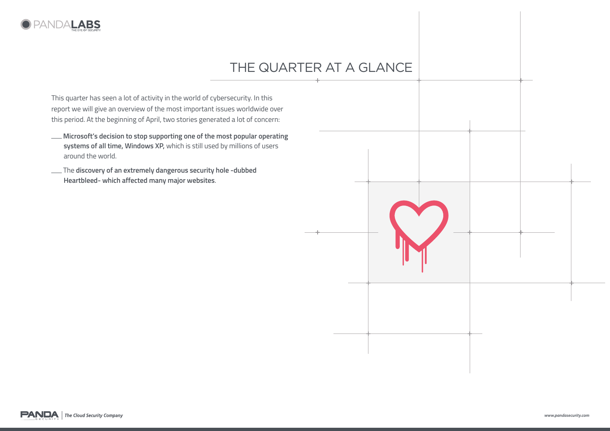

# THE QUARTER AT A GLANCE

This quarter has seen a lot of activity in the world of cybersecurity. In this report we will give an overview of the most important issues worldwide over this period. At the beginning of April, two stories generated a lot of concern:

- **Microsoft's decision to stop supporting one of the most popular operating systems of all time, Windows XP,** which is still used by millions of users around the world.
- The **discovery of an extremely dangerous security hole -dubbed Heartbleed- which affected many major websites**.



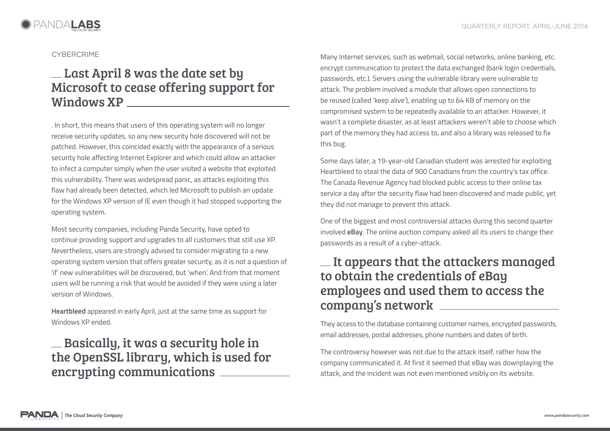

### **CYBERCRIME**

## Last April 8 was the date set by Microsoft to cease offering support for Windows XP

. In short, this means that users of this operating system will no longer receive security updates, so any new security hole discovered will not be patched. However, this coincided exactly with the appearance of a serious security hole affecting Internet Explorer and which could allow an attacker to infect a computer simply when the user visited a website that exploited this vulnerability. There was widespread panic, as attacks exploiting this flaw had already been detected, which led Microsoft to publish an update for the Windows XP version of IE even though it had stopped supporting the operating system.

Most security companies, including Panda Security, have opted to continue providing support and upgrades to all customers that still use XP. Nevertheless, users are strongly advised to consider migrating to a new operating system version that offers greater security, as it is not a question of 'if' new vulnerabilities will be discovered, but 'when'. And from that moment users will be running a risk that would be avoided if they were using a later version of Windows.

**Heartbleed** appeared in early April, just at the same time as support for Windows XP ended.

## Basically, it was a security hole in the OpenSSL library, which is used for encrypting communications

Many Internet services, such as webmail, social networks, online banking, etc. encrypt communication to protect the data exchanged (bank login credentials, passwords, etc.). Servers using the vulnerable library were vulnerable to attack. The problem involved a module that allows open connections to be reused (called 'keep alive'), enabling up to 64 KB of memory on the compromised system to be repeatedly available to an attacker. However, it wasn't a complete disaster, as at least attackers weren't able to choose which part of the memory they had access to, and also a library was released to fix this bug.

Some days later, a 19-year-old Canadian student was arrested for exploiting Heartbleed to steal the data of 900 Canadians from the country's tax office. The Canada Revenue Agency had blocked public access to their online tax service a day after the security flaw had been discovered and made public, yet they did not manage to prevent this attack.

One of the biggest and most controversial attacks during this second quarter involved **eBay**. The online auction company asked all its users to change their passwords as a result of a cyber-attack.

## $\equiv$  It appears that the attackers managed to obtain the credentials of eBay employees and used them to access the company's network

They access to the database containing customer names, encrypted passwords, email addresses, postal addresses, phone numbers and dates of birth.

The controversy however was not due to the attack itself, rather how the company communicated it. At first it seemed that eBay was downplaying the attack, and the incident was not even mentioned visibly on its website.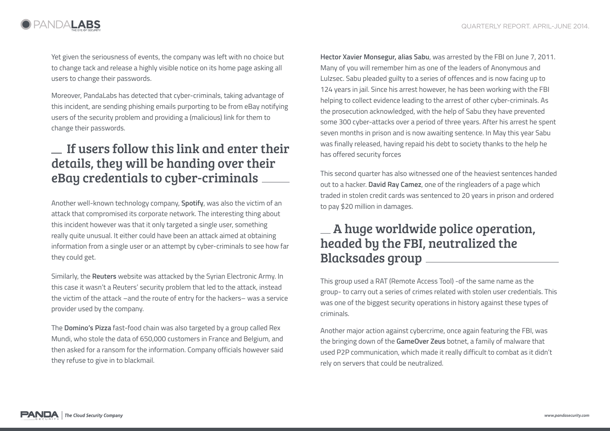

Yet given the seriousness of events, the company was left with no choice but to change tack and release a highly visible notice on its home page asking all users to change their passwords.

Moreover, PandaLabs has detected that cyber-criminals, taking advantage of this incident, are sending phishing emails purporting to be from eBay notifying users of the security problem and providing a (malicious) link for them to change their passwords.

## If users follow this link and enter their details, they will be handing over their eBay credentials to cyber-criminals

Another well-known technology company, **Spotify**, was also the victim of an attack that compromised its corporate network. The interesting thing about this incident however was that it only targeted a single user, something really quite unusual. It either could have been an attack aimed at obtaining information from a single user or an attempt by cyber-criminals to see how far they could get.

Similarly, the **Reuters** website was attacked by the Syrian Electronic Army. In this case it wasn't a Reuters' security problem that led to the attack, instead the victim of the attack –and the route of entry for the hackers– was a service provider used by the company.

The **Domino's Pizza** fast-food chain was also targeted by a group called Rex Mundi, who stole the data of 650,000 customers in France and Belgium, and then asked for a ransom for the information. Company officials however said they refuse to give in to blackmail.

**Hector Xavier Monsegur, alias Sabu**, was arrested by the FBI on June 7, 2011. Many of you will remember him as one of the leaders of Anonymous and Lulzsec. Sabu pleaded guilty to a series of offences and is now facing up to 124 years in jail. Since his arrest however, he has been working with the FBI helping to collect evidence leading to the arrest of other cyber-criminals. As the prosecution acknowledged, with the help of Sabu they have prevented some 300 cyber-attacks over a period of three years. After his arrest he spent seven months in prison and is now awaiting sentence. In May this year Sabu was finally released, having repaid his debt to society thanks to the help he has offered security forces

This second quarter has also witnessed one of the heaviest sentences handed out to a hacker. **David Ray Camez**, one of the ringleaders of a page which traded in stolen credit cards was sentenced to 20 years in prison and ordered to pay \$20 million in damages.

## A huge worldwide police operation, headed by the FBI, neutralized the Blacksades group

This group used a RAT (Remote Access Tool) -of the same name as the group- to carry out a series of crimes related with stolen user credentials. This was one of the biggest security operations in history against these types of criminals.

Another major action against cybercrime, once again featuring the FBI, was the bringing down of the **GameOver Zeus** botnet, a family of malware that used P2P communication, which made it really difficult to combat as it didn't rely on servers that could be neutralized.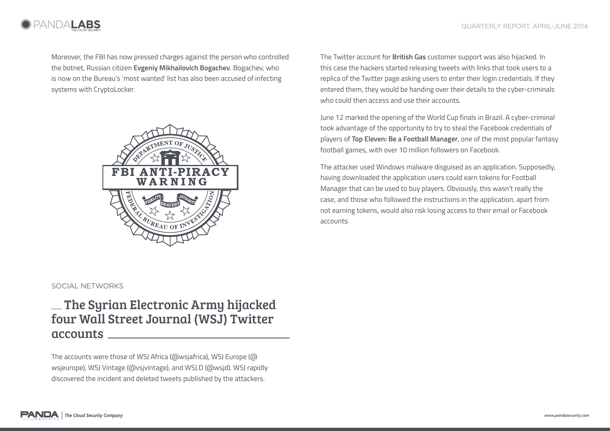

Moreover, the FBI has now pressed charges against the person who controlled the botnet, Russian citizen **Evgeniy Mikhailovich Bogachev**. Bogachev, who is now on the Bureau's 'most wanted' list has also been accused of infecting systems with CryptoLocker.



### The Twitter account for **British Gas** customer support was also hijacked. In this case the hackers started releasing tweets with links that took users to a replica of the Twitter page asking users to enter their login credentials. If they entered them, they would be handing over their details to the cyber-criminals who could then access and use their accounts.

June 12 marked the opening of the World Cup finals in Brazil. A cyber-criminal took advantage of the opportunity to try to steal the Facebook credentials of players of **Top Eleven: Be a Football Manager**, one of the most popular fantasy football games, with over 10 million followers on Facebook.

The attacker used Windows malware disguised as an application. Supposedly, having downloaded the application users could earn tokens for Football Manager that can be used to buy players. Obviously, this wasn't really the case, and those who followed the instructions in the application, apart from not earning tokens, would also risk losing access to their email or Facebook accounts.

### Social networks

### The Syrian Electronic Army hijacked four Wall Street Journal (WSJ) Twitter accounts

The accounts were those of WSJ Africa (@wsjafrica), WSJ Europe (@ wsjeurope), WSJ Vintage (@vsjvintage), and WSJ.D (@wsjd). WSJ rapidly discovered the incident and deleted tweets published by the attackers.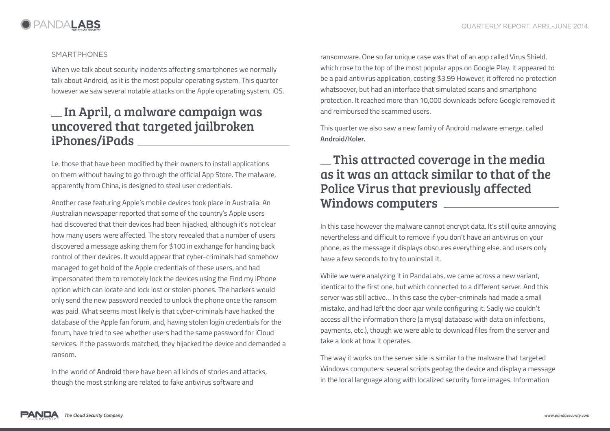

### **SMARTPHONES**

When we talk about security incidents affecting smartphones we normally talk about Android, as it is the most popular operating system. This quarter however we saw several notable attacks on the Apple operating system, iOS.

### In April, a malware campaign was uncovered that targeted jailbroken iPhones/iPads

I.e. those that have been modified by their owners to install applications on them without having to go through the official App Store. The malware, apparently from China, is designed to steal user credentials.

Another case featuring Apple's mobile devices took place in Australia. An Australian newspaper reported that some of the country's Apple users had discovered that their devices had been hijacked, although it's not clear how many users were affected. The story revealed that a number of users discovered a message asking them for \$100 in exchange for handing back control of their devices. It would appear that cyber-criminals had somehow managed to get hold of the Apple credentials of these users, and had impersonated them to remotely lock the devices using the Find my iPhone option which can locate and lock lost or stolen phones. The hackers would only send the new password needed to unlock the phone once the ransom was paid. What seems most likely is that cyber-criminals have hacked the database of the Apple fan forum, and, having stolen login credentials for the forum, have tried to see whether users had the same password for iCloud services. If the passwords matched, they hijacked the device and demanded a ransom.

In the world of **Android** there have been all kinds of stories and attacks, though the most striking are related to fake antivirus software and

ransomware. One so far unique case was that of an app called Virus Shield, which rose to the top of the most popular apps on Google Play. It appeared to be a paid antivirus application, costing \$3.99 However, it offered no protection whatsoever, but had an interface that simulated scans and smartphone protection. It reached more than 10,000 downloads before Google removed it and reimbursed the scammed users.

This quarter we also saw a new family of Android malware emerge, called **Android/Koler.**

### $\equiv$  This attracted coverage in the media as it was an attack similar to that of the Police Virus that previously affected Windows computers

In this case however the malware cannot encrypt data. It's still quite annoying nevertheless and difficult to remove if you don't have an antivirus on your phone, as the message it displays obscures everything else, and users only have a few seconds to try to uninstall it.

While we were analyzing it in PandaLabs, we came across a new variant, identical to the first one, but which connected to a different server. And this server was still active… In this case the cyber-criminals had made a small mistake, and had left the door ajar while configuring it. Sadly we couldn't access all the information there (a mysql database with data on infections, payments, etc.), though we were able to download files from the server and take a look at how it operates.

The way it works on the server side is similar to the malware that targeted Windows computers: several scripts geotag the device and display a message in the local language along with localized security force images. Information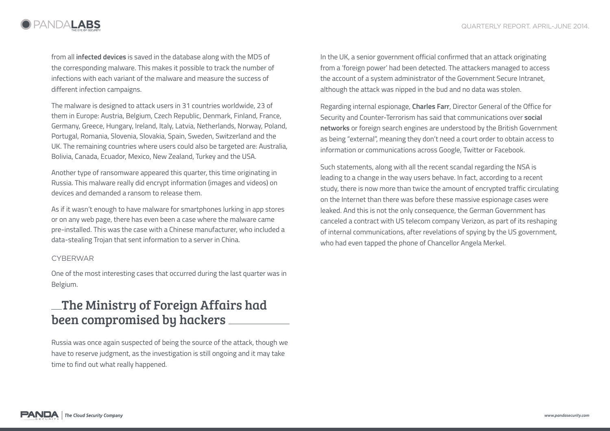

from all **infected devices** is saved in the database along with the MD5 of the corresponding malware. This makes it possible to track the number of infections with each variant of the malware and measure the success of different infection campaigns.

The malware is designed to attack users in 31 countries worldwide, 23 of them in Europe: Austria, Belgium, Czech Republic, Denmark, Finland, France, Germany, Greece, Hungary, Ireland, Italy, Latvia, Netherlands, Norway, Poland, Portugal, Romania, Slovenia, Slovakia, Spain, Sweden, Switzerland and the UK. The remaining countries where users could also be targeted are: Australia, Bolivia, Canada, Ecuador, Mexico, New Zealand, Turkey and the USA.

Another type of ransomware appeared this quarter, this time originating in Russia. This malware really did encrypt information (images and videos) on devices and demanded a ransom to release them.

As if it wasn't enough to have malware for smartphones lurking in app stores or on any web page, there has even been a case where the malware came pre-installed. This was the case with a Chinese manufacturer, who included a data-stealing Trojan that sent information to a server in China.

### **CYBERWAR**

One of the most interesting cases that occurred during the last quarter was in Belgium.

### The Ministry of Foreign Affairs had been compromised by hackers

Russia was once again suspected of being the source of the attack, though we have to reserve judgment, as the investigation is still ongoing and it may take time to find out what really happened.

In the UK, a senior government official confirmed that an attack originating from a 'foreign power' had been detected. The attackers managed to access the account of a system administrator of the Government Secure Intranet, although the attack was nipped in the bud and no data was stolen.

Regarding internal espionage, **Charles Farr**, Director General of the Office for Security and Counter-Terrorism has said that communications over **social networks** or foreign search engines are understood by the British Government as being "external", meaning they don't need a court order to obtain access to information or communications across Google, Twitter or Facebook.

Such statements, along with all the recent scandal regarding the NSA is leading to a change in the way users behave. In fact, according to a recent study, there is now more than twice the amount of encrypted traffic circulating on the Internet than there was before these massive espionage cases were leaked. And this is not the only consequence, the German Government has canceled a contract with US telecom company Verizon, as part of its reshaping of internal communications, after revelations of spying by the US government, who had even tapped the phone of Chancellor Angela Merkel.

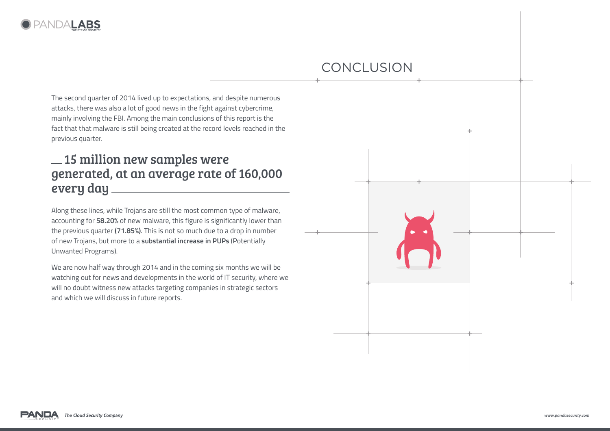

## conclusion

The second quarter of 2014 lived up to expectations, and despite numerous attacks, there was also a lot of good news in the fight against cybercrime, mainly involving the FBI. Among the main conclusions of this report is the fact that that malware is still being created at the record levels reached in the previous quarter.

## 15 million new samples were generated, at an average rate of 160,000 every day

Along these lines, while Trojans are still the most common type of malware, accounting for **58.20%** of new malware, this figure is significantly lower than the previous quarter **(71.85%)**. This is not so much due to a drop in number of new Trojans, but more to a **substantial increase in PUPs** (Potentially Unwanted Programs).

We are now half way through 2014 and in the coming six months we will be watching out for news and developments in the world of IT security, where we will no doubt witness new attacks targeting companies in strategic sectors and which we will discuss in future reports.

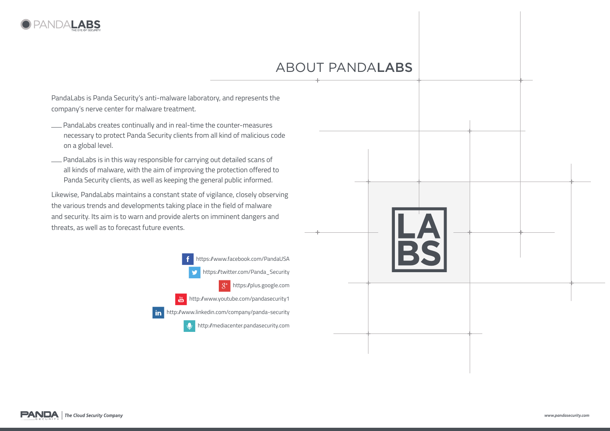

# about pandalabs

PandaLabs is Panda Security's anti-malware laboratory, and represents the company's nerve center for malware treatment.

- PandaLabs creates continually and in real-time the counter-measures necessary to protect Panda Security clients from all kind of malicious code on a global level.
- PandaLabs is in this way responsible for carrying out detailed scans of all kinds of malware, with the aim of improving the protection offered to Panda Security clients, as well as keeping the general public informed.

Likewise, PandaLabs maintains a constant state of vigilance, closely observing the various trends and developments taking place in the field of malware and security. Its aim is to warn and provide alerts on imminent dangers and threats, as well as to forecast future events.

> https://www.facebook.com/PandaUSA https://twitter.com/Panda\_Security https://plus.google.com  $\mathfrak{L}^+$  $\frac{Y_{01}}{Y_{02}}$  http://www.youtube.com/pandasecurity1 http://www.linkedin.com/company/panda-security http://mediacenter.pandasecurity.com  $\mathbf{0}$